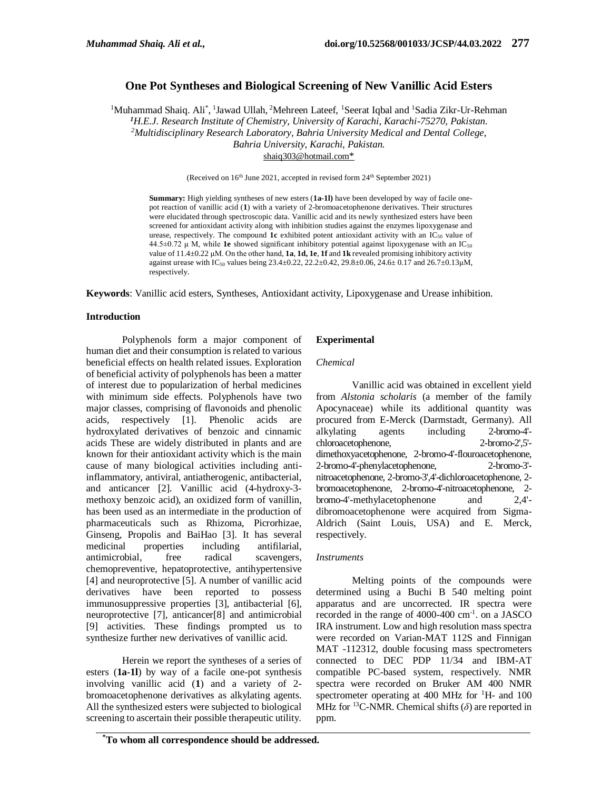# **One Pot Syntheses and Biological Screening of New Vanillic Acid Esters**

<sup>1</sup>Muhammad Shaiq. Ali<sup>\*</sup>, <sup>1</sup>Jawad Ullah, <sup>2</sup>Mehreen Lateef, <sup>1</sup>Seerat Iqbal and <sup>1</sup>Sadia Zikr-Ur-Rehman *<sup>1</sup>H.E.J. Research Institute of Chemistry, University of Karachi, Karachi-75270, Pakistan. <sup>2</sup>Multidisciplinary Research Laboratory, Bahria University Medical and Dental College, Bahria University, Karachi, Pakistan.* [shaiq303@hotmail.com](mailto:shaiq303@hotmail.com*)\*

(Received on 16<sup>th</sup> June 2021, accepted in revised form 24<sup>th</sup> September 2021)

**Summary:** High yielding syntheses of new esters (**1a-1l)** have been developed by way of facile onepot reaction of vanillic acid (**1**) with a variety of 2-bromoacetophenone derivatives. Their structures were elucidated through spectroscopic data. Vanillic acid and its newly synthesized esters have been screened for antioxidant activity along with inhibition studies against the enzymes lipoxygenase and urease, respectively. The compound  $1c$  exhibited potent antioxidant activity with an  $IC_{50}$  value of 44.5±0.72 μ M, while **1e** showed significant inhibitory potential against lipoxygenase with an IC<sup>50</sup> value of 11.4±0.22 μM. On the other hand, **1a**, **1d, 1e**, **1f** and **1k** revealed promising inhibitory activity against urease with IC<sub>50</sub> values being 23.4±0.22, 22.2±0.42, 29.8±0.06, 24.6± 0.17 and 26.7±0.13µM, respectively.

**Keywords**: Vanillic acid esters, Syntheses, Antioxidant activity, Lipoxygenase and Urease inhibition.

### **Introduction**

Polyphenols form a major component of human diet and their consumption is related to various beneficial effects on health related issues. Exploration of beneficial activity of polyphenols has been a matter of interest due to popularization of herbal medicines with minimum side effects. Polyphenols have two major classes, comprising of flavonoids and phenolic acids, respectively [\[1\]](file:///C:/Users/Administrator/Desktop/paper%20Jawad.docx%23_ENREF_2). Phenolic acids are hydroxylated derivatives of benzoic and cinnamic acids These are widely distributed in plants and are known for their antioxidant activity which is the main cause of many biological activities including antiinflammatory, antiviral, antiatherogenic, antibacterial, and anticancer [\[2\]](file:///C:/Users/Administrator/Desktop/paper%20Jawad.docx%23_ENREF_3). Vanillic acid (4-hydroxy-3 methoxy benzoic acid), an oxidized form of vanillin, has been used as an intermediate in the production of pharmaceuticals such as Rhizoma, Picrorhizae, Ginseng, Propolis and BaiHao [\[3\]](file:///C:/Users/Administrator/Desktop/paper%20Jawad.docx%23_ENREF_4). It has several medicinal properties including antifilarial, antimicrobial, free radical scavengers, chemopreventive, hepatoprotective, antihypertensive [\[4\]](file:///C:/Users/Administrator/Desktop/paper%20Jawad.docx%23_ENREF_5) and neuroprotective [\[5\]](file:///C:/Users/Administrator/Desktop/paper%20Jawad.docx%23_ENREF_6). A number of vanillic acid derivatives have been reported to possess immunosuppressive properties [\[3\]](file:///C:/Users/Administrator/Desktop/paper%20Jawad.docx%23_ENREF_4), antibacterial [\[6\]](file:///C:/Users/Administrator/Desktop/paper%20Jawad.docx%23_ENREF_7), neuroprotective [\[7\]](file:///C:/Users/Administrator/Desktop/paper%20Jawad.docx%23_ENREF_8), anticancer[\[8\]](file:///C:/Users/Administrator/Desktop/paper%20Jawad.docx%23_ENREF_9) and antimicrobial [9] activities. These findings prompted us to synthesize further new derivatives of vanillic acid.

Herein we report the syntheses of a series of esters (**1a-1l**) by way of a facile one-pot synthesis involving vanillic acid (**1**) and a variety of 2 bromoacetophenone derivatives as alkylating agents. All the synthesized esters were subjected to biological screening to ascertain their possible therapeutic utility.

### **Experimental**

#### *Chemical*

Vanillic acid was obtained in excellent yield from *Alstonia scholaris* (a member of the family Apocynaceae) while its additional quantity was procured from E-Merck (Darmstadt, Germany). All alkylating agents including 2-bromo-4' chloroacetophenone, 2-bromo-2',5' dimethoxyacetophenone, 2-bromo-4'-flouroacetophenone, 2-bromo-4'-phenylacetophenone, 2-bromo-3' nitroacetophenone, 2-bromo-3',4'-dichloroacetophenone, 2 bromoacetophenone, 2-bromo-4'-nitroacetophenone, 2 bromo-4'-methylacetophenone and 2,4' dibromoacetophenone were acquired from Sigma-Aldrich (Saint Louis, USA) and E. Merck, respectively.

#### *Instruments*

Melting points of the compounds were determined using a Buchi B 540 melting point apparatus and are uncorrected. IR spectra were recorded in the range of 4000-400 cm-1 . on a JASCO IRA instrument. Low and high resolution mass spectra were recorded on Varian-MAT 112S and Finnigan MAT -112312, double focusing mass spectrometers connected to DEC PDP 11/34 and IBM-AT compatible PC-based system, respectively. NMR spectra were recorded on Bruker AM 400 NMR spectrometer operating at 400 MHz for  $^1$ H- and 100 MHz for <sup>13</sup>C-NMR. Chemical shifts  $(\delta)$  are reported in ppm.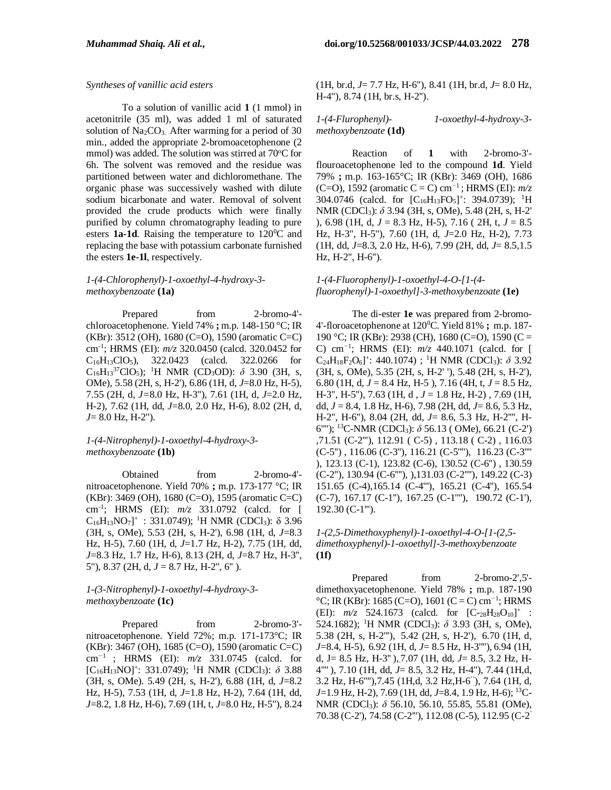#### *Syntheses of vanillic acid esters*

To a solution of vanillic acid **1** (1 mmol) in acetonitrile (35 ml), was added 1 ml of saturated solution of  $Na<sub>2</sub>CO<sub>3</sub>$ . After warming for a period of 30 min., added the appropriate 2-bromoacetophenone (2 mmol) was added. The solution was stirred at  $70^{\circ}$ C for 6h. The solvent was removed and the residue was partitioned between water and dichloromethane. The organic phase was successively washed with dilute sodium bicarbonate and water. Removal of solvent provided the crude products which were finally purified by column chromatography leading to pure esters **1a-1d**. Raising the temperature to 120<sup>0</sup>C and replacing the base with potassium carbonate furnished the esters **1e-1l**, respectively.

### *1-(4-Chlorophenyl)-1-oxoethyl-4-hydroxy-3 methoxybenzoate* **(1a)**

Prepared from 2-bromo-4'chloroacetophenone. Yield 74% **;** m.p. 148-150 °C; IR (KBr): 3512 (OH), 1680 (C=O), 1590 (aromatic C=C) cm-1 ; HRMS (EI): *m/z* 320.0450 (calcd. 320.0452 for  $C_{16}H_{13}ClO_5$ , 322.0423 (calcd. 322.0266 for  $C_{16}H_{13}{}^{37}ClO_5$ ); <sup>1</sup>H NMR (CD<sub>3</sub>OD):  $\delta$  3.90 (3H, s, OMe), 5.58 (2H, s, H-2'), 6.86 (1H, d, *J*=8.0 Hz, H-5), 7.55 (2H, d, *J=*8.0 Hz, H-3''), 7.61 (1H, d, *J*=2.0 Hz, H-2), 7.62 (1H, dd, *J*=8.0, 2.0 Hz, H-6), 8.02 (2H, d, *J*= 8.0 Hz, H-2'').

### *1-(4-Nitrophenyl)-1-oxoethyl-4-hydroxy-3 methoxybenzoate* **(1b)**

Obtained from 2-bromo-4' nitroacetophenone. Yield 70% **;** m.p. 173-177 °C; IR (KBr): 3469 (OH), 1680 (C=O), 1595 (aromatic C=C) cm*-*<sup>1</sup> ; HRMS (EI): *m/z* 331.0792 (calcd. for [  $C_{16}H_{13}NO_7$ ]<sup>+</sup>: 331.0749); <sup>1</sup>H NMR (CDCl<sub>3</sub>):  $\delta$  3.96 (3H, s, OMe), 5.53 (2H, s, H-2'), 6.98 (1H, d, *J*=8.3 Hz, H-5), 7.60 (1H, d, *J*=1.7 Hz, H-2), 7.75 (1H, dd, *J*=8.3 Hz, 1.7 Hz, H-6), 8.13 (2H, d, *J*=8.7 Hz, H-3'', 5''), 8.37 (2H, d, *J* = 8.7 Hz, H-2'', 6'' ).

### *1-(3-Nitrophenyl)-1-oxoethyl-4-hydroxy-3 methoxybenzoate* **(1c)**

Prepared from 2-bromo-3'nitroacetophenone. Yield 72%; m.p. 171-173°C; IR (KBr): 3467 (OH), 1685 (C=O), 1590 (aromatic C=C) cm*<sup>−</sup>*<sup>1</sup> ; HRMS (EI): *m/z* 331.0745 (calcd. for [C16H13NO]<sup>+</sup> : 331.0749); <sup>1</sup>H NMR (CDCl3): *δ* 3.88 (3H, s, OMe). 5.49 (2H, s, H-2'), 6.88 (1H, d, *J*=8.2 Hz, H-5), 7.53 (1H, d, *J*=1.8 Hz, H-2), 7.64 (1H, dd, *J*=8.2, 1.8 Hz, H-6), 7.69 (1H, t, *J*=8.0 Hz, H-5''), 8.24

(1H, br.d, *J*= 7.7 Hz, H-6''), 8.41 (1H, br.d, *J*= 8.0 Hz, H-4''), 8.74 (1H, br.s, H-2'').

#### *1-(4-Flurophenyl)- 1-oxoethyl-4-hydroxy-3 methoxybenzoate* **(1d)**

Reaction of **1** with 2-bromo-3' flouroacetophenone led to the compound **1d**. Yield 79% **;** m.p. 163-165°C; IR (KBr): 3469 (OH), 1686 (C=O), 1592 (aromatic C = C) cm*<sup>−</sup>*<sup>1</sup> ; HRMS (EI): *m/z* 304.0746 (calcd. for  $[C_{16}H_{13}FO_5]^{\text{+}}$ : 394.0739); <sup>1</sup>H NMR (CDCl3): *δ* 3.94 (3H, s, OMe), 5.48 (2H, s, H-2' ), 6.98 (1H, d, *J* = 8.3 Hz, H-5), 7.16 ( 2H, t, *J* = 8.5 Hz, H-3'', H-5''), 7.60 (1H, d, *J*=2.0 Hz, H-2), 7.73 (1H, dd, *J*=8.3, 2.0 Hz, H-6), 7.99 (2H, dd, *J*= 8.5,1.5 Hz, H-2'', H-6'').

# *1-(4-Fluorophenyl)-1-oxoethyl-4-O-[1-(4 fluorophenyl)-1-oxoethyl]-3-methoxybenzoate* **(1e)**

The di-ester **1e** was prepared from 2-bromo-4'-floroacetophenone at 120<sup>0</sup>C. Yield 81% **;** m.p. 187- 190 °C; IR (KBr): 2938 (CH), 1680 (C=O), 1590 (C = C) cm*<sup>−</sup>*<sup>1</sup> ; HRMS (EI): *m/z* 440.1071 (calcd. for [  $C_{24}H_{18}F_2O_6$ ]<sup>+</sup>: 440.1074) ; <sup>1</sup>H NMR (CDCl<sub>3</sub>):  $\delta$  3.92 (3H, s, OMe), 5.35 (2H, s, H-2' '), 5.48 (2H, s, H-2'), 6.80 (1H, d, *J* = 8.4 Hz, H-5 ), 7.16 (4H, t, *J* = 8.5 Hz, H-3'', H-5''), 7.63 (1H, d , *J* = 1.8 Hz, H-2) , 7.69 (1H, dd, *J* = 8.4, 1.8 Hz, H-6), 7.98 (2H, dd, *J*= 8.6, 5.3 Hz, H-2'', H-6''), 8.04 (2H, dd, *J*= 8.6, 5.3 Hz, H-2'''', H-6''''); <sup>13</sup>C-NMR (CDCl3): *δ* 56.13 ( OMe), 66.21 (C-2') ,71.51 (C-2'''), 112.91 ( C-5) , 113.18 ( C-2) , 116.03 (C-5'') , 116.06 (C-3''), 116.21 (C-5''''), 116.23 (C-3'''' ), 123.13 (C-1), 123.82 (C-6), 130.52 (C-6'') , 130.59 (C-2''), 130.94 (C-6''''), ),131.03 (C-2''''), 149.22 (C-3) 151.65 (C-4),165.14 (C-4'''), 165.21 (C-4''), 165.54 (C-7), 167.17 (C-1''), 167.25 (C-1''''), 190.72 (C-1'), 192.30 (C-1''').

## *1-(2,5-Dimethoxyphenyl)-1-oxoethyl-4-O-[1-(2,5 dimethoxyphenyl)-1-oxoethyl]-3-methoxybenzoate* **(1f)**

Prepared from 2-bromo-2',5' dimethoxyacetophenone. Yield 78% **;** m.p. 187-190 °C; IR (KBr): 1685 (C=O), 1601 (C = C) cm*<sup>−</sup>*<sup>1</sup> ; HRMS (EI):  $m/z$  524.1673 (calcd. for  $[C_{28}H_{28}O_{10}]^+$ : 524.1682); <sup>1</sup>H NMR (CDCl3): *δ* 3.93 (3H, s, OMe), 5.38 (2H, s, H-2'''), 5.42 (2H, s, H-2'), 6.70 (1H, d, *J*=8.4, H-5), 6.92 (1H, d, *J*= 8.5 Hz, H-3''''), 6.94 (1H, d, J= 8.5 Hz, H-3'' ),.7.07 (1H, dd, *J*= 8.5, 3.2 Hz, H-4'''' ), 7.10 (1H, dd, *J*= 8.5, 3.2 Hz, H-4''), 7.44 (1H,d, 3.2 Hz, H-6''''),7.45 (1H,d, 3.2 Hz,H-6 ''), 7.64 (1H, d, *J*=1.9 Hz, H-2), 7.69 (1H, dd, *J*=8.4, 1.9 Hz, H-6); <sup>13</sup>C-NMR (CDCl3): *δ* 56.10, 56.10, 55.85, 55.81 (OMe), 70.38 (C-2'), 74.58 (C-2'''), 112.08 (C-5), 112.95 (C-2 '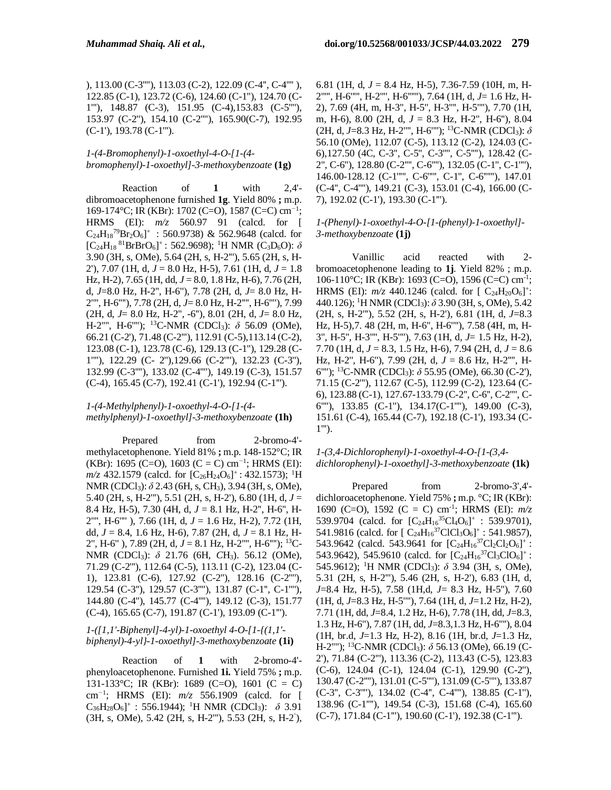), 113.00 (C-3''''), 113.03 (C-2), 122.09 (C-4'', C-4'''' ), 122.85 (C-1), 123.72 (C-6), 124.60 (C-1''), 124.70 (C-1'''), 148.87 (C-3), 151.95 (C-4),153.83 (C-5''''), 153.97 (C-2''), 154.10 (C-2''''), 165.90(C-7), 192.95 (C-1'), 193.78 (C-1''').

# *1-(4-Bromophenyl)-1-oxoethyl-4-O-[1-(4 bromophenyl)-1-oxoethyl]-3-methoxybenzoate* **(1g)**

Reaction of **1** with 2,4' dibromoacetophenone furnished **1g**. Yield 80% **;** m.p. 169-174°C; IR (KBr): 1702 (C=O), 1587 (C=C) cm*<sup>−</sup>*<sup>1</sup> ; HRMS (EI): *m/z* 560.97 91 (calcd. for [  $C_{24}H_{18}^{79}Br_2O_6$ <sup>+</sup>: 560.9738) & 562.9648 (calcd. for  $[C_{24}H_{18}^{81}BrBrO<sub>6</sub>]<sup>+</sup>: 562.9698);$ <sup>1</sup>H NMR (C<sub>3</sub>D<sub>6</sub>O):  $\delta$ 3.90 (3H, s, OMe), 5.64 (2H, s, H-2'''), 5.65 (2H, s, H-2'), 7.07 (1H, d, *J* = 8.0 Hz, H-5), 7.61 (1H, d, *J* = 1.8 Hz, H-2), 7.65 (1H, dd, *J* = 8.0, 1.8 Hz, H-6), 7.76 (2H, d, *J*=8.0 Hz, H-2'', H-6''), 7.78 (2H, d, *J*= 8.0 Hz, H-2'''', H-6''''), 7.78 (2H, d, *J*= 8.0 Hz, H-2'''', H-6''''), 7.99 (2H, d, *J*= 8.0 Hz, H-2'', -6''), 8.01 (2H, d, *J*= 8.0 Hz, H-2'''', H-6''''); <sup>13</sup>C-NMR (CDCl3): *δ* 56.09 (OMe), 66.21 (C-2'), 71.48 (C-2'''), 112.91 (C-5),113.14 (C-2), 123.08 (C-1), 123.78 (C-6), 129.13 (C-1''), 129.28 (C-1''''), 122.29 (C- 2''),129.66 (C-2''''), 132.23 (C-3''), 132.99 (C-3''''), 133.02 (C-4''''), 149.19 (C-3), 151.57 (C-4), 165.45 (C-7), 192.41 (C-1'), 192.94 (C-1''').

### *1-(4-Methylphenyl)-1-oxoethyl-4-O-[1-(4 methylphenyl)-1-oxoethyl]-3-methoxybenzoate* **(1h)**

Prepared from 2-bromo-4'methylacetophenone. Yield 81% **;** m.p. 148-152°C; IR (KBr): 1695 (C=O), 1603 (C = C) cm*<sup>−</sup>*<sup>1</sup> ; HRMS (EI): *m/z* 432.1579 (calcd. for  $[C_{26}H_{24}O_6]^+$ : 432.1573); <sup>1</sup>H NMR (CDCl3): *δ* 2.43 (6H, s, CH3), 3.94 (3H, s, OMe), 5.40 (2H, s, H-2'''), 5.51 (2H, s, H-2'), 6.80 (1H, d, *J* = 8.4 Hz, H-5), 7.30 (4H, d, *J* = 8.1 Hz, H-2'', H-6'', H-2'''', H-6'''' ), 7.66 (1H, d, *J* = 1.6 Hz, H-2), 7.72 (1H, dd, *J* = 8.4, 1.6 Hz, H-6), 7.87 (2H, d, *J* = 8.1 Hz, H-2'', H-6'' ), 7.89 (2H, d, *J* = 8.1 Hz, H-2'''', H-6''''); <sup>13</sup>C-NMR (CDCl3): *δ* 21.76 (6H, *C*H3). 56.12 (OMe), 71.29 (C-2'''), 112.64 (C-5), 113.11 (C-2), 123.04 (C-1), 123.81 (C-6), 127.92 (C-2''), 128.16 (C-2''''), 129.54 (C-3''), 129.57 (C-3''''), 131.87 (C-1'', C-1''''), 144.80 (C-4''), 145.77 (C-4''''), 149.12 (C-3), 151.77 (C-4), 165.65 (C-7), 191.87 (C-1'), 193.09 (C-1''').

# *1-([1,1'-Biphenyl]-4-yl)-1-oxoethyl 4-O-[1-{(1,1' biphenyl)-4-yl}-1-oxoethyl]-3-methoxybenzoate* **(1i)**

Reaction of **1** with 2-bromo-4' phenyloacetophenone. Furnished **1i.** Yield 75% **;** m.p. 131-133°C; IR (KBr): 1689 (C=O), 1601 (C = C) cm*<sup>−</sup>*<sup>1</sup> ; HRMS (EI): *m/z* 556.1909 (calcd. for [  $C_{36}H_{28}O_6$ ]<sup>+</sup>: 556.1944); <sup>1</sup>H NMR (CDCl<sub>3</sub>):  $\delta$  3.91 (3H, s, OMe), 5.42 (2H, s, H-2'''), 5.53 (2H, s, H-2 ' ),

6.81 (1H, d, *J* = 8.4 Hz, H-5), 7.36-7.59 (10H, m, H-2''''', H-6''''', H-2'''', H-6''''''), 7.64 (1H, d, *J*= 1.6 Hz, H-2), 7.69 (4H, m, H-3'', H-5'', H-3'''', H-5''''), 7.70 (1H, m, H-6), 8.00 (2H, d, *J* = 8.3 Hz, H-2'', H-6''), 8.04 (2H, d, *J*=8.3 Hz, H-2'''', H-6''''); <sup>13</sup>C-NMR (CDCl3): *δ* 56.10 (OMe), 112.07 (C-5), 113.12 (C-2), 124.03 (C-6),127.50 (4C, C-3'', C-5'', C-3'''', C-5''''), 128.42 (C-2'', C-6''), 128.80 (C-2'''', C-6''''), 132.05 (C-1'', C-1''''), 146.00-128.12 (C-1''''', C-6''''', C-1'', C-6''''''), 147.01 (C-4'', C-4''''), 149.21 (C-3), 153.01 (C-4), 166.00 (C-7), 192.02 (C-1'), 193.30 (C-1''').

### *1-(Phenyl)-1-oxoethyl-4-O-[1-(phenyl)-1-oxoethyl]- 3-methoxybenzoate* **(1j)**

Vanillic acid reacted with 2 bromoacetophenone leading to **1j**. Yield 82% ; m.p. 106-110°C; IR (KBr): 1693 (C=O), 1596 (C=C) cm*-*<sup>1</sup> ; HRMS (EI):  $m/z$  440.1246 (calcd. for [ $C_{24}H_{20}O_6$ ]<sup>+</sup>: 440.126); <sup>1</sup>H NMR (CDCl3): *δ* 3.90 (3H, s, OMe), 5.42 (2H, s, H-2'''), 5.52 (2H, s, H-2'), 6.81 (1H, d, *J*=8.3 Hz, H-5),7. 48 (2H, m, H-6'', H-6''''), 7.58 (4H, m, H-3'', H-5'', H-3'''', H-5''''), 7.63 (1H, d, *J*= 1.5 Hz, H-2), 7.70 (1H, d, *J* = 8.3, 1.5 Hz, H-6), 7.94 (2H, d, *J* = 8.6 Hz, H-2'', H-6''), 7.99 (2H, d, *J* = 8.6 Hz, H-2'''', H-6''''); <sup>13</sup>C-NMR (CDCl3): *δ* 55.95 (OMe), 66.30 (C-2'), 71.15 (C-2'''), 112.67 (C-5), 112.99 (C-2), 123.64 (C-6), 123.88 (C-1), 127.67-133.79 (C-2'', C-6'', C-2'''', C-6''''), 133.85 (C-1''), 134.17(C-1''''), 149.00 (C-3), 151.61 (C-4), 165.44 (C-7), 192.18 (C-1'), 193.34 (C-1''').

### *1-(3,4-Dichlorophenyl)-1-oxoethyl-4-O-[1-(3,4 dichlorophenyl)-1-oxoethyl]-3-methoxybenzoate* **(1k)**

Prepared from 2-bromo-3',4' dichloroacetophenone. Yield 75% **;** m.p. °C; IR (KBr): 1690 (C=O), 1592 (C = C) cm*-*<sup>1</sup> ; HRMS (EI): *m/z* 539.9704 (calcd. for  $[C_{24}H_{16}^{35}Cl_4O_6]^+$ : 539.9701), 541.9816 (calcd. for  $[C_{24}H_{16}^{37}ClCl_3O_6]^+$ : 541.9857), 543.9642 (calcd. 543.9641 for  $[C_{24}H_{16}^{37}Cl_2Cl_2O_6]^+$ : 543.9642), 545.9610 (calcd. for  $[C_{24}H_{16}^{37}Cl_3Cl_0]$ <sup>+</sup>: 545.9612); <sup>1</sup>H NMR (CDCl3): *δ* 3.94 (3H, s, OMe), 5.31 (2H, s, H-2'''), 5.46 (2H, s, H-2'), 6.83 (1H, d, *J*=8.4 Hz, H-5), 7.58 (1H,d, *J*= 8.3 Hz, H-5''), 7.60 (1H, d, *J*=8.3 Hz, H-5''''), 7.64 (1H, d, *J*=1.2 Hz, H-2), 7.71 (1H, dd, *J*=8.4, 1.2 Hz, H-6), 7.78 (1H, dd, *J*=8.3, 1.3 Hz, H-6''), 7.87 (1H, dd, *J*=8.3,1.3 Hz, H-6''''), 8.04 (1H, br.d, *J*=1.3 Hz, H-2), 8.16 (1H, br.d, *J*=1.3 Hz, H-2''''); <sup>13</sup>C-NMR (CDCl3): *δ* 56.13 (OMe), 66.19 (C-2'), 71.84 (C-2'''), 113.36 (C-2), 113.43 (C-5), 123.83 (C-6), 124.04 (C-1), 124.04 (C-1), 129.90 (C-2''), 130.47 (C-2''''), 131.01 (C-5''''), 131.09 (C-5''''), 133.87 (C-3'', C-3''''), 134.02 (C-4'', C-4''''), 138.85 (C-1''), 138.96 (C-1''''), 149.54 (C-3), 151.68 (C-4), 165.60 (C-7), 171.84 (C-1'''), 190.60 (C-1'), 192.38 (C-1''').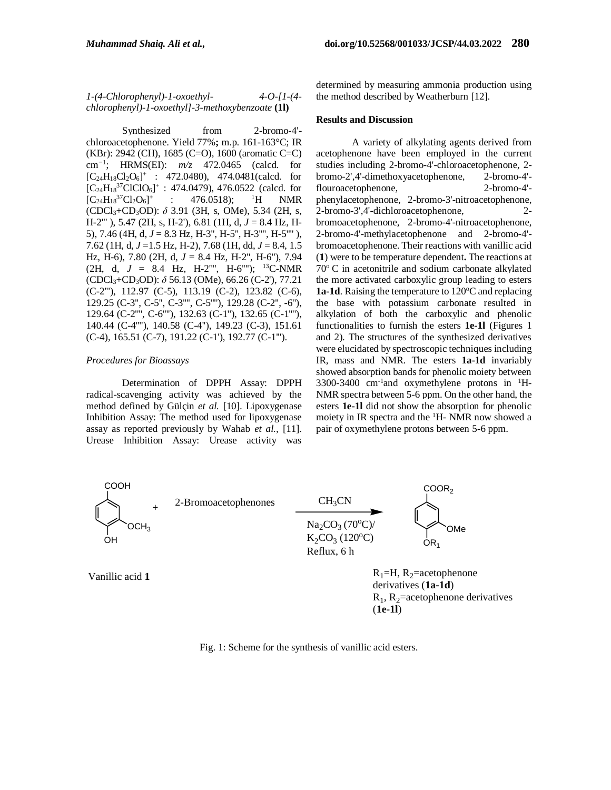*1-(4-Chlorophenyl)-1-oxoethyl- 4-O-[1-(4 chlorophenyl)-1-oxoethyl]-3-methoxybenzoate* **(1l)**

Synthesized from 2-bromo-4'chloroacetophenone. Yield 77%**;** m.p. 161-163°C; IR (KBr): 2942 (CH), 1685 (C=O), 1600 (aromatic C=C) cm*<sup>−</sup>*<sup>1</sup> ; HRMS(EI): *m/z* 472.0465 (calcd. for  $[C_{24}H_{18}Cl_2O_6]^+$  : 472.0480), 474.0481(calcd. for  $[C_{24}H_{18}^{37}ClClO_6]^+$ : 474.0479), 476.0522 (calcd. for  $[C_{24}H_{18}^{37}Cl_2O_6]^+$ :  $476.0518$ ; <sup>1</sup>H NMR (CDCl3+CD3OD): *δ* 3.91 (3H, s, OMe), 5.34 (2H, s, H-2''' ), 5.47 (2H, s, H-2'), 6.81 (1H, d, *J* = 8.4 Hz, H-5), 7.46 (4H, d, *J* = 8.3 Hz, H-3'', H-5'', H-3'''', H-5'''' ), 7.62 (1H, d, *J* =1.5 Hz, H-2), 7.68 (1H, dd, *J* = 8.4, 1.5 Hz, H-6), 7.80 (2H, d, *J* = 8.4 Hz, H-2'', H-6''), 7.94 (2H, d,  $J = 8.4$  Hz, H-2"", H-6""); <sup>13</sup>C-NMR (CDCl3+CD3OD): *δ* 56.13 (OMe), 66.26 (C-2'), 77.21 (C-2'''), 112.97 (C-5), 113.19 (C-2), 123.82 (C-6), 129.25 (C-3'', C-5'', C-3'''', C-5''''), 129.28 (C-2'', -6''), 129.64 (C-2'''', C-6''''), 132.63 (C-1''), 132.65 (C-1''''), 140.44 (C-4''''), 140.58 (C-4''), 149.23 (C-3), 151.61 (C-4), 165.51 (C-7), 191.22 (C-1'), 192.77 (C-1''').

#### *Procedures for Bioassays*

Determination of DPPH Assay: DPPH radical-scavenging activity was achieved by the method defined by Gülçin *et al.* [10]. Lipoxygenase Inhibition Assay: The method used for lipoxygenase assay as reported previously by Wahab *et al.,* [11]. Urease Inhibition Assay: Urease activity was determined by measuring ammonia production using the method described by Weatherburn [12].

### **Results and Discussion**

A variety of alkylating agents derived from acetophenone have been employed in the current studies including 2-bromo-4'-chloroacetophenone, 2 bromo-2',4'-dimethoxyacetophenone, 2-bromo-4' flouroacetophenone, 2-bromo-4' phenylacetophenone, 2-bromo-3'-nitroacetophenone, 2-bromo-3',4'-dichloroacetophenone, 2 bromoacetophenone, 2-bromo-4'-nitroacetophenone, 2-bromo-4'-methylacetophenone and 2-bromo-4' bromoacetophenone. Their reactions with vanillic acid (**1**) were to be temperature dependent**.** The reactions at  $70^{\circ}$  C in acetonitrile and sodium carbonate alkylated the more activated carboxylic group leading to esters 1a-1d. Raising the temperature to 120°C and replacing the base with potassium carbonate resulted in alkylation of both the carboxylic and phenolic functionalities to furnish the esters **1e-1l** (Figures 1 and 2). The structures of the synthesized derivatives were elucidated by spectroscopic techniques including IR, mass and NMR. The esters **1a-1d** invariably showed absorption bands for phenolic moiety between 3300-3400 cm<sup>-1</sup>and oxymethylene protons in <sup>1</sup>H-NMR spectra between 5-6 ppm. On the other hand, the esters **1e-1l** did not show the absorption for phenolic moiety in IR spectra and the <sup>1</sup>H- NMR now showed a pair of oxymethylene protons between 5-6 ppm.



 $R_1$ ,  $R_2$ =acetophenone derivatives (**1e-1l**)

Fig. 1: Scheme for the synthesis of vanillic acid esters.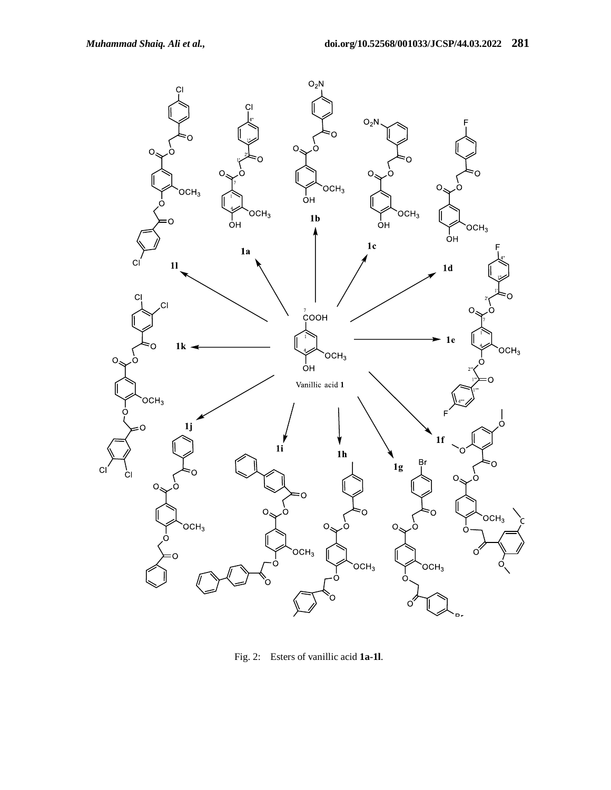

Fig. 2: Esters of vanillic acid **1a-1l**.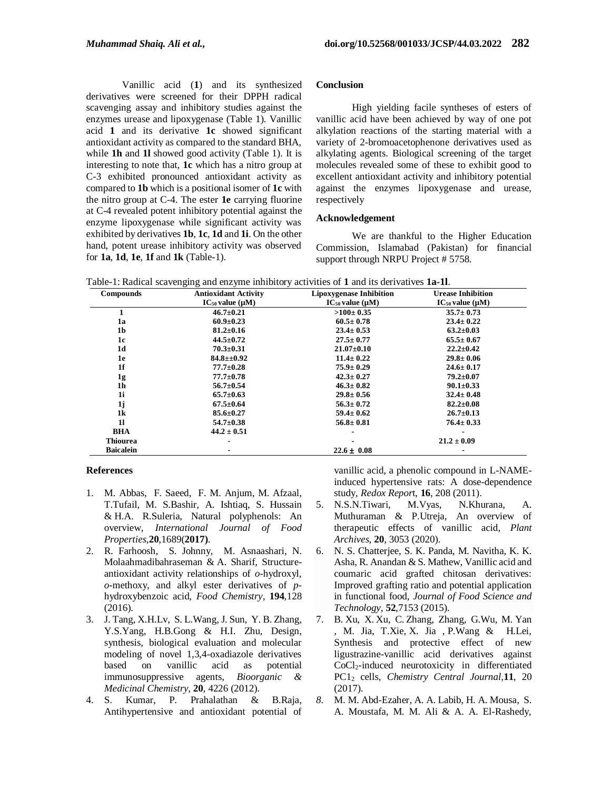Vanillic acid (**1**) and its synthesized derivatives were screened for their DPPH radical scavenging assay and inhibitory studies against the enzymes urease and lipoxygenase (Table 1). Vanillic acid **1** and its derivative **1c** showed significant antioxidant activity as compared to the standard BHA, while **1h** and **1l** showed good activity (Table 1). It is interesting to note that, **1c** which has a nitro group at C-3 exhibited pronounced antioxidant activity as compared to **1b** which is a positional isomer of **1c** with the nitro group at C-4. The ester **1e** carrying fluorine at C-4 revealed potent inhibitory potential against the enzyme lipoxygenase while significant activity was exhibited by derivatives **1b**, **1c**, **1d** and **1i**. On the other hand, potent urease inhibitory activity was observed for **1a**, **1d**, **1e**, **1f** and **1k** (Table-1).

#### **Conclusion**

High yielding facile syntheses of esters of vanillic acid have been achieved by way of one pot alkylation reactions of the starting material with a variety of 2-bromoacetophenone derivatives used as alkylating agents. Biological screening of the target molecules revealed some of these to exhibit good to excellent antioxidant activity and inhibitory potential against the enzymes lipoxygenase and urease, respectively

#### **Acknowledgement**

We are thankful to the Higher Education Commission, Islamabad (Pakistan) for financial support through NRPU Project # 5758.

Table-1: Radical scavenging and enzyme inhibitory activities of **1** and its derivatives **1a-1l**.

| <b>Compounds</b> | <b>Antioxidant Activity</b> | <b>Lipoxygenase Inhibition</b> | <b>Urease Inhibition</b>   |
|------------------|-----------------------------|--------------------------------|----------------------------|
|                  | $IC_{50}$ value ( $\mu$ M)  | $IC_{50}$ value ( $\mu$ M)     | $IC_{50}$ value ( $\mu$ M) |
| 1                | $46.7 \pm 0.21$             | $>100 \pm 0.35$                | $35.7 \pm 0.73$            |
| 1a               | $60.9 \pm 0.23$             | $60.5 \pm 0.78$                | $23.4 \pm 0.22$            |
| 1 <sub>b</sub>   | $81.2 \pm 0.16$             | $23.4 \pm 0.53$                | $63.2 \pm 0.03$            |
| 1c               | $44.5 \pm 0.72$             | $27.5 \pm 0.77$                | $65.5 \pm 0.67$            |
| 1d               | $70.3 \pm 0.31$             | $21.07 \pm 0.10$               | $22.2 \pm 0.42$            |
| 1e               | $84.8 \pm 0.92$             | $11.4 \pm 0.22$                | $29.8 \pm 0.06$            |
| 1f               | $77.7 \pm 0.28$             | $75.9 \pm 0.29$                | $24.6 \pm 0.17$            |
| 1g               | $77.7 \pm 0.78$             | $42.3 \pm 0.27$                | $79.2 \pm 0.07$            |
| 1h               | $56.7 \pm 0.54$             | $46.3 \pm 0.82$                | $90.1 \pm 0.33$            |
| 1i               | $65.7 \pm 0.63$             | $29.8 \pm 0.56$                | $32.4 \pm 0.48$            |
| 1j               | $67.5 \pm 0.64$             | $56.3 \pm 0.72$                | $82.2 \pm 0.08$            |
| 1k               | $85.6 \pm 0.27$             | $59.4 \pm 0.62$                | $26.7 \pm 0.13$            |
| 11               | $54.7 \pm 0.38$             | $56.8 \pm 0.81$                | $76.4 \pm 0.33$            |
| <b>BHA</b>       | $44.2 \pm 0.51$             |                                |                            |
| <b>Thiourea</b>  |                             |                                | $21.2 \pm 0.09$            |
| <b>Baicalein</b> |                             | $22.6 \pm 0.08$                |                            |

#### **References**

- 1. M. [Abbas,](https://www.tandfonline.com/author/Abbas%2C+Munawar) F. [Saeed,](https://www.tandfonline.com/author/Saeed%2C+Farhan) F. M. [Anjum,](https://www.tandfonline.com/author/Anjum%2C+Faqir+Muhammad) M. [Afzaal,](https://www.tandfonline.com/author/Afzaal%2C+Muhammad) T[.Tufail,](https://www.tandfonline.com/author/Tufail%2C+Tabussam) [M. S.Bashir,](https://www.tandfonline.com/author/Bashir%2C+Muhammad+Shakeel) A. [Ishtiaq,](https://www.tandfonline.com/author/Ishtiaq%2C+Adnan) S. [Hussain](https://www.tandfonline.com/author/Hussain%2C+Shahzad) & H.A. R[.Suleria,](https://www.tandfonline.com/author/Suleria%2C+Hafiz+Ansar+Rasul) Natural polyphenols: An overview, *International Journal of Food Properties,***20**,1689(**2017)**.
- 2. R. [Farhoosh,](https://pubmed.ncbi.nlm.nih.gov/?term=Farhoosh+R&cauthor_id=26471535) S. [Johnny,](https://pubmed.ncbi.nlm.nih.gov/?term=Johnny+S&cauthor_id=26471535) [M. Asnaashari,](https://pubmed.ncbi.nlm.nih.gov/?term=Asnaashari+M&cauthor_id=26471535) N. [Molaahmadibahraseman](https://pubmed.ncbi.nlm.nih.gov/?term=Molaahmadibahraseman+N&cauthor_id=26471535) & A. [Sharif,](https://pubmed.ncbi.nlm.nih.gov/?term=Sharif+A&cauthor_id=26471535) Structureantioxidant activity relationships of *o*-hydroxyl, *o*-methoxy, and alkyl ester derivatives of *p*hydroxybenzoic acid, *Food Chemistry,* **194**,128 (2016).
- 3. J. Tang, X.H[.Lv,](https://europepmc.org/search?query=AUTH:%22Xian-Hai%20Lv%22) S. L.Wang, J. [Sun,](https://europepmc.org/search?query=AUTH:%22Jian%20Sun%22) Y. B. Zhang, Y.S[.Yang,](https://europepmc.org/authors/0000-0001-5424-8202) H.[B.Gong](https://europepmc.org/search?query=AUTH:%22Hai-Bin%20Gong%22) & H.I. Zhu, Design, synthesis, biological evaluation and molecular modeling of novel 1,3,4-oxadiazole derivatives based on vanillic acid as potential immunosuppressive agents, *Bioorganic & Medicinal Chemistry,* **20**, 4226 (2012).
- 4. S. Kumar, P. Prahalathan & B.Raja, Antihypertensive and antioxidant potential of

vanillic acid, a phenolic compound in L-NAMEinduced hypertensive rats: A dose-dependence study, *Redox Repor*t, **16**, 208 (2011).

- 5. N.S.N.Tiwari, M.Vyas, N.Khurana, A. Muthuraman & P.Utreja, An overview of therapeutic effects of vanillic acid, *Plant Archives*, **20**, 3053 (2020).
- 6. N. S. [Chatterjee,](javascript:;) S. K. [Panda,](javascript:;) M. [Navitha,](javascript:;) K. K. [Asha,](javascript:;) R[. Anandan](javascript:;) & S. [Mathew,](javascript:;) Vanillic acid and coumaric acid grafted chitosan derivatives: Improved grafting ratio and potential application in functional food, *Journal of Food Science and Technology,* **52**,7153 (2015).
- 7. B. [Xu,](https://www.ncbi.nlm.nih.gov/pubmed/?term=Xu%20B%5BAuthor%5D&cauthor=true&cauthor_uid=28293281) X. [Xu,](https://www.ncbi.nlm.nih.gov/pubmed/?term=Xu%20X%5BAuthor%5D&cauthor=true&cauthor_uid=28293281) C. [Zhang,](https://www.ncbi.nlm.nih.gov/pubmed/?term=Zhang%20C%5BAuthor%5D&cauthor=true&cauthor_uid=28293281) [Zhang,](https://www.ncbi.nlm.nih.gov/pubmed/?term=Zhang%20Y%5BAuthor%5D&cauthor=true&cauthor_uid=28293281) [G.Wu,](https://www.ncbi.nlm.nih.gov/pubmed/?term=Wu%20G%5BAuthor%5D&cauthor=true&cauthor_uid=28293281) M. [Yan](https://www.ncbi.nlm.nih.gov/pubmed/?term=Yan%20M%5BAuthor%5D&cauthor=true&cauthor_uid=28293281) , M. [Jia,](https://www.ncbi.nlm.nih.gov/pubmed/?term=Jia%20M%5BAuthor%5D&cauthor=true&cauthor_uid=28293281) T[.Xie,](https://www.ncbi.nlm.nih.gov/pubmed/?term=Xie%20T%5BAuthor%5D&cauthor=true&cauthor_uid=28293281) [X. Jia](https://www.ncbi.nlm.nih.gov/pubmed/?term=Jia%20X%5BAuthor%5D&cauthor=true&cauthor_uid=28293281) , [P.Wang](https://www.ncbi.nlm.nih.gov/pubmed/?term=Wang%20P%5BAuthor%5D&cauthor=true&cauthor_uid=28293281) & [H.Lei,](https://www.ncbi.nlm.nih.gov/pubmed/?term=Lei%20H%5BAuthor%5D&cauthor=true&cauthor_uid=28293281) Synthesis and protective effect of new ligustrazine-vanillic acid derivatives against CoCl2-induced neurotoxicity in differentiated PC1<sup>2</sup> cells, *Chemistry Central Journal,***11**, 20 (2017).
- *8.* M. M. Abd-Ezaher, A. A. Labib, H. A. Mousa, S. A. Moustafa, M. M. Ali & A. A. El-Rashedy,